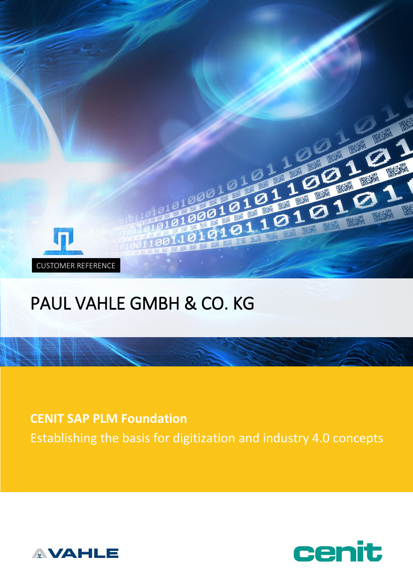

# PAUL VAHLE GMBH & CO. KG

**CENIT SAP PLM Foundation** Establishing the basis for digitization and industry 4.0 concepts